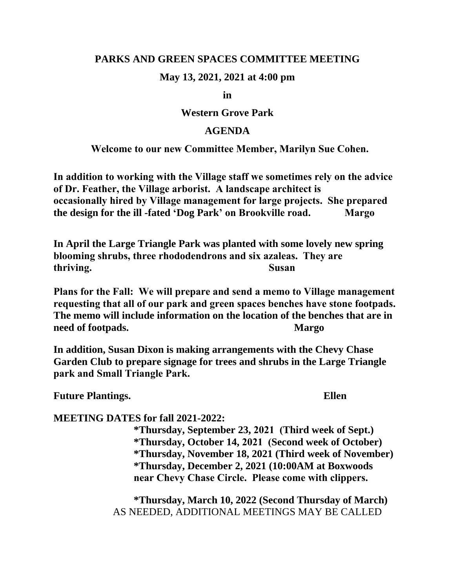### **PARKS AND GREEN SPACES COMMITTEE MEETING**

## **May 13, 2021, 2021 at 4:00 pm**

**in**

#### **Western Grove Park**

#### **AGENDA**

#### **Welcome to our new Committee Member, Marilyn Sue Cohen.**

**In addition to working with the Village staff we sometimes rely on the advice of Dr. Feather, the Village arborist. A landscape architect is occasionally hired by Village management for large projects. She prepared the design for the ill -fated 'Dog Park' on Brookville road. Margo**

**In April the Large Triangle Park was planted with some lovely new spring blooming shrubs, three rhododendrons and six azaleas. They are thriving. Susan** 

**Plans for the Fall: We will prepare and send a memo to Village management requesting that all of our park and green spaces benches have stone footpads. The memo will include information on the location of the benches that are in need of footpads. Margo**

**In addition, Susan Dixon is making arrangements with the Chevy Chase Garden Club to prepare signage for trees and shrubs in the Large Triangle park and Small Triangle Park.** 

Future Plantings. Ellen

**MEETING DATES for fall 2021-2022:**

**\*Thursday, September 23, 2021 (Third week of Sept.) \*Thursday, October 14, 2021 (Second week of October) \*Thursday, November 18, 2021 (Third week of November) \*Thursday, December 2, 2021 (10:00AM at Boxwoods near Chevy Chase Circle. Please come with clippers.**

**\*Thursday, March 10, 2022 (Second Thursday of March)** AS NEEDED, ADDITIONAL MEETINGS MAY BE CALLED